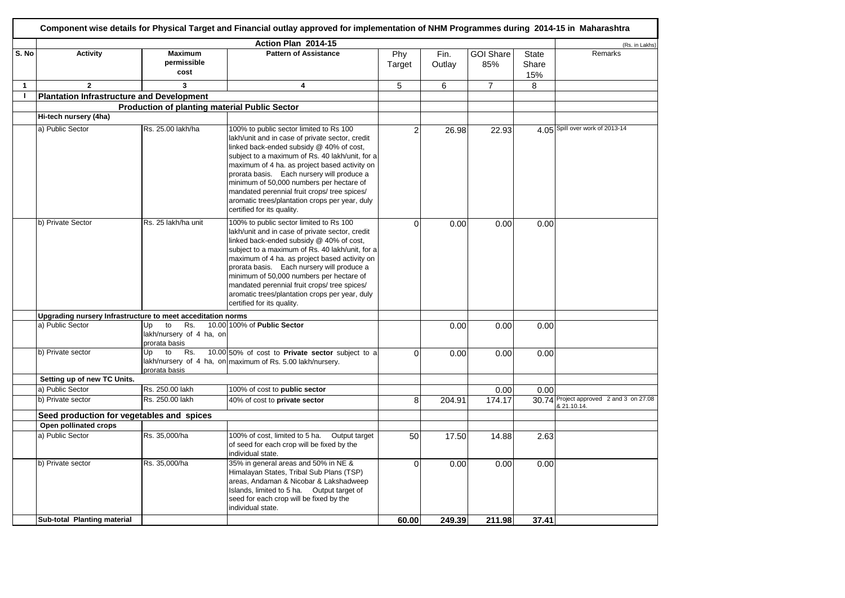|              | Component wise details for Physical Target and Financial outlay approved for implementation of NHM Programmes during 2014-15 in Maharashtra |                                                              |                                                                                                                                                                                                                                                                                                                                                                                                                                                                      |                |                |                         |                              |                                                        |  |  |  |
|--------------|---------------------------------------------------------------------------------------------------------------------------------------------|--------------------------------------------------------------|----------------------------------------------------------------------------------------------------------------------------------------------------------------------------------------------------------------------------------------------------------------------------------------------------------------------------------------------------------------------------------------------------------------------------------------------------------------------|----------------|----------------|-------------------------|------------------------------|--------------------------------------------------------|--|--|--|
|              |                                                                                                                                             |                                                              | Action Plan 2014-15                                                                                                                                                                                                                                                                                                                                                                                                                                                  |                |                |                         |                              | (Rs. in Lakhs)                                         |  |  |  |
| S. No        | Activity                                                                                                                                    | <b>Maximum</b><br>permissible<br>cost                        | <b>Pattern of Assistance</b>                                                                                                                                                                                                                                                                                                                                                                                                                                         | Phy<br>Target  | Fin.<br>Outlay | <b>GOI Share</b><br>85% | <b>State</b><br>Share<br>15% | Remarks                                                |  |  |  |
| $\mathbf{1}$ | $\mathbf{2}$                                                                                                                                | 3                                                            | 4                                                                                                                                                                                                                                                                                                                                                                                                                                                                    | 5              | 6              | $\overline{7}$          | 8                            |                                                        |  |  |  |
| $\mathbf{I}$ | Plantation Infrastructure and Development                                                                                                   |                                                              |                                                                                                                                                                                                                                                                                                                                                                                                                                                                      |                |                |                         |                              |                                                        |  |  |  |
|              |                                                                                                                                             | <b>Production of planting material Public Sector</b>         |                                                                                                                                                                                                                                                                                                                                                                                                                                                                      |                |                |                         |                              |                                                        |  |  |  |
|              | Hi-tech nursery (4ha)                                                                                                                       |                                                              |                                                                                                                                                                                                                                                                                                                                                                                                                                                                      |                |                |                         |                              |                                                        |  |  |  |
|              | a) Public Sector                                                                                                                            | Rs. 25.00 lakh/ha                                            | 100% to public sector limited to Rs 100<br>lakh/unit and in case of private sector, credit<br>linked back-ended subsidy @ 40% of cost,<br>subject to a maximum of Rs. 40 lakh/unit, for a<br>maximum of 4 ha. as project based activity on<br>prorata basis. Each nursery will produce a<br>minimum of 50,000 numbers per hectare of<br>mandated perennial fruit crops/ tree spices/<br>aromatic trees/plantation crops per year, duly<br>certified for its quality. | $\mathfrak{p}$ | 26.98          | 22.93                   |                              | 4.05 Spill over work of 2013-14                        |  |  |  |
|              | b) Private Sector                                                                                                                           | Rs. 25 lakh/ha unit                                          | 100% to public sector limited to Rs 100<br>lakh/unit and in case of private sector, credit<br>linked back-ended subsidy @ 40% of cost,<br>subject to a maximum of Rs. 40 lakh/unit, for a<br>maximum of 4 ha. as project based activity on<br>prorata basis. Each nursery will produce a<br>minimum of 50,000 numbers per hectare of<br>mandated perennial fruit crops/ tree spices/<br>aromatic trees/plantation crops per year, duly<br>certified for its quality. | $\Omega$       | 0.00           | 0.00                    | 0.00                         |                                                        |  |  |  |
|              | Upgrading nursery Infrastructure to meet acceditation norms                                                                                 |                                                              |                                                                                                                                                                                                                                                                                                                                                                                                                                                                      |                |                |                         |                              |                                                        |  |  |  |
|              | a) Public Sector                                                                                                                            | Up<br>to<br>Rs.<br>lakh/nursery of 4 ha, on<br>prorata basis | 10.00 100% of Public Sector                                                                                                                                                                                                                                                                                                                                                                                                                                          |                | 0.00           | 0.00                    | 0.00                         |                                                        |  |  |  |
|              | b) Private sector                                                                                                                           | Up<br>to<br>Rs.<br>prorata basis                             | 10.00 50% of cost to Private sector subject to a<br>lakh/nursery of 4 ha, on maximum of Rs. 5.00 lakh/nursery.                                                                                                                                                                                                                                                                                                                                                       | $\Omega$       | 0.00           | 0.00                    | 0.00                         |                                                        |  |  |  |
|              | Setting up of new TC Units.                                                                                                                 |                                                              |                                                                                                                                                                                                                                                                                                                                                                                                                                                                      |                |                |                         |                              |                                                        |  |  |  |
|              | a) Public Sector                                                                                                                            | Rs. 250.00 lakh                                              | 100% of cost to public sector                                                                                                                                                                                                                                                                                                                                                                                                                                        |                |                | 0.00                    | 0.00                         |                                                        |  |  |  |
|              | b) Private sector                                                                                                                           | Rs. 250.00 lakh                                              | 40% of cost to private sector                                                                                                                                                                                                                                                                                                                                                                                                                                        | 8              | 204.91         | 174.17                  |                              | 30.74 Project approved 2 and 3 on 27.08<br>8 21.10.14. |  |  |  |
|              | Seed production for vegetables and spices                                                                                                   |                                                              |                                                                                                                                                                                                                                                                                                                                                                                                                                                                      |                |                |                         |                              |                                                        |  |  |  |
|              | Open pollinated crops                                                                                                                       |                                                              |                                                                                                                                                                                                                                                                                                                                                                                                                                                                      |                |                |                         |                              |                                                        |  |  |  |
|              | a) Public Sector                                                                                                                            | Rs. 35,000/ha                                                | 100% of cost, limited to 5 ha. Output target<br>of seed for each crop will be fixed by the<br>individual state.                                                                                                                                                                                                                                                                                                                                                      | 50             | 17.50          | 14.88                   | 2.63                         |                                                        |  |  |  |
|              | b) Private sector                                                                                                                           | Rs. 35,000/ha                                                | 35% in general areas and 50% in NE &<br>Himalayan States, Tribal Sub Plans (TSP)<br>areas, Andaman & Nicobar & Lakshadweep<br>Islands, limited to 5 ha. Output target of<br>seed for each crop will be fixed by the<br>individual state.                                                                                                                                                                                                                             | $\Omega$       | 0.00           | 0.00                    | 0.00                         |                                                        |  |  |  |
|              | Sub-total Planting material                                                                                                                 |                                                              |                                                                                                                                                                                                                                                                                                                                                                                                                                                                      | 60.00          | 249.39         | 211.98                  | 37.41                        |                                                        |  |  |  |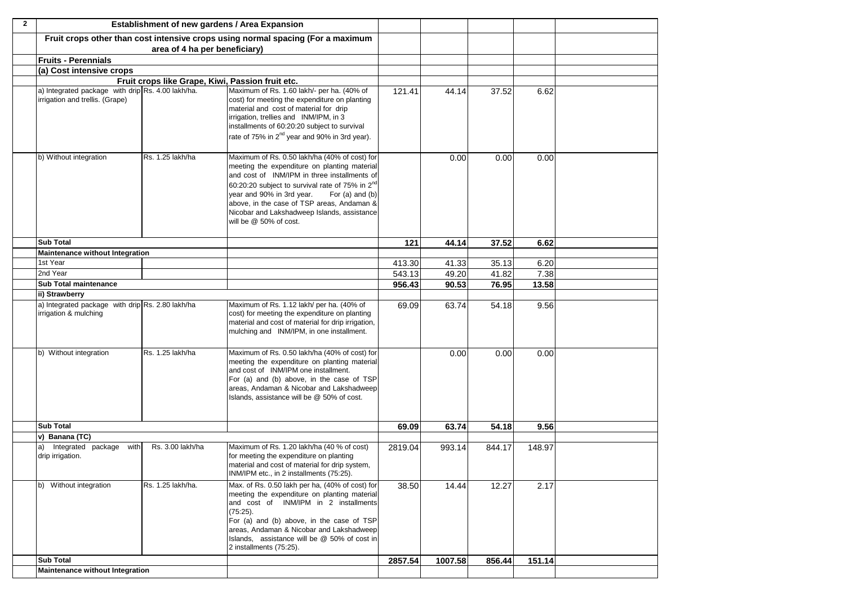| $\overline{2}$ |                                                                                      | Establishment of new gardens / Area Expansion    |                                                                                                                                                                                                                                                                                                                                                                                     |         |         |        |        |  |
|----------------|--------------------------------------------------------------------------------------|--------------------------------------------------|-------------------------------------------------------------------------------------------------------------------------------------------------------------------------------------------------------------------------------------------------------------------------------------------------------------------------------------------------------------------------------------|---------|---------|--------|--------|--|
|                |                                                                                      |                                                  | Fruit crops other than cost intensive crops using normal spacing (For a maximum                                                                                                                                                                                                                                                                                                     |         |         |        |        |  |
|                |                                                                                      | area of 4 ha per beneficiary)                    |                                                                                                                                                                                                                                                                                                                                                                                     |         |         |        |        |  |
|                | <b>Fruits - Perennials</b>                                                           |                                                  |                                                                                                                                                                                                                                                                                                                                                                                     |         |         |        |        |  |
|                | (a) Cost intensive crops                                                             |                                                  |                                                                                                                                                                                                                                                                                                                                                                                     |         |         |        |        |  |
|                |                                                                                      | Fruit crops like Grape, Kiwi, Passion fruit etc. |                                                                                                                                                                                                                                                                                                                                                                                     |         |         |        |        |  |
|                | a) Integrated package with drip Rs. 4.00 lakh/ha.<br>irrigation and trellis. (Grape) |                                                  | Maximum of Rs. 1.60 lakh/- per ha. (40% of<br>cost) for meeting the expenditure on planting<br>material and cost of material for drip<br>irrigation, trellies and INM/IPM, in 3<br>installments of 60:20:20 subject to survival<br>rate of 75% in 2 <sup>nd</sup> year and 90% in 3rd year).                                                                                        | 121.41  | 44.14   | 37.52  | 6.62   |  |
|                | b) Without integration                                                               | Rs. 1.25 lakh/ha                                 | Maximum of Rs. 0.50 lakh/ha (40% of cost) for<br>meeting the expenditure on planting material<br>and cost of INM/IPM in three installments of<br>60:20:20 subject to survival rate of 75% in 2 <sup>nd</sup><br>year and 90% in 3rd year.<br>For (a) and (b)<br>above, in the case of TSP areas, Andaman &<br>Nicobar and Lakshadweep Islands, assistance<br>will be @ 50% of cost. |         | 0.00    | 0.00   | 0.00   |  |
|                | <b>Sub Total</b>                                                                     |                                                  |                                                                                                                                                                                                                                                                                                                                                                                     | 121     | 44.14   | 37.52  | 6.62   |  |
|                | <b>Maintenance without Integration</b>                                               |                                                  |                                                                                                                                                                                                                                                                                                                                                                                     |         |         |        |        |  |
|                | 1st Year                                                                             |                                                  |                                                                                                                                                                                                                                                                                                                                                                                     | 413.30  | 41.33   | 35.13  | 6.20   |  |
|                | 2nd Year                                                                             |                                                  |                                                                                                                                                                                                                                                                                                                                                                                     | 543.13  | 49.20   | 41.82  | 7.38   |  |
|                | Sub Total maintenance                                                                |                                                  |                                                                                                                                                                                                                                                                                                                                                                                     | 956.43  | 90.53   | 76.95  | 13.58  |  |
|                | ii) Strawberry                                                                       |                                                  |                                                                                                                                                                                                                                                                                                                                                                                     |         |         |        |        |  |
|                | a) Integrated package with drip Rs. 2.80 lakh/ha<br>irrigation & mulching            |                                                  | Maximum of Rs. 1.12 lakh/ per ha. (40% of<br>cost) for meeting the expenditure on planting<br>material and cost of material for drip irrigation,<br>mulching and INM/IPM, in one installment.                                                                                                                                                                                       | 69.09   | 63.74   | 54.18  | 9.56   |  |
|                | b) Without integration                                                               | Rs. 1.25 lakh/ha                                 | Maximum of Rs. 0.50 lakh/ha (40% of cost) for<br>meeting the expenditure on planting material<br>and cost of INM/IPM one installment.<br>For (a) and (b) above, in the case of TSP<br>areas, Andaman & Nicobar and Lakshadweep<br>Islands, assistance will be @ 50% of cost.                                                                                                        |         | 0.00    | 0.00   | 0.00   |  |
|                | <b>Sub Total</b>                                                                     |                                                  |                                                                                                                                                                                                                                                                                                                                                                                     | 69.09   | 63.74   | 54.18  | 9.56   |  |
|                | v) Banana (TC)                                                                       |                                                  |                                                                                                                                                                                                                                                                                                                                                                                     |         |         |        |        |  |
|                | Integrated package with<br>a)<br>drip irrigation.                                    | Rs. 3.00 lakh/ha                                 | Maximum of Rs. 1.20 lakh/ha (40 % of cost)<br>for meeting the expenditure on planting<br>material and cost of material for drip system,<br>INM/IPM etc., in 2 installments (75:25).                                                                                                                                                                                                 | 2819.04 | 993.14  | 844.17 | 148.97 |  |
|                | b) Without integration                                                               | Rs. 1.25 lakh/ha.                                | Max. of Rs. 0.50 lakh per ha, (40% of cost) for<br>meeting the expenditure on planting material<br>and cost of INM/IPM in 2 installments<br>$(75:25)$ .<br>For (a) and (b) above, in the case of TSP<br>areas, Andaman & Nicobar and Lakshadweep<br>Islands, assistance will be @ 50% of cost in<br>2 installments (75:25).                                                         | 38.50   | 14.44   | 12.27  | 2.17   |  |
|                | <b>Sub Total</b>                                                                     |                                                  |                                                                                                                                                                                                                                                                                                                                                                                     | 2857.54 | 1007.58 | 856.44 | 151.14 |  |
|                | <b>Maintenance without Integration</b>                                               |                                                  |                                                                                                                                                                                                                                                                                                                                                                                     |         |         |        |        |  |
|                |                                                                                      |                                                  |                                                                                                                                                                                                                                                                                                                                                                                     |         |         |        |        |  |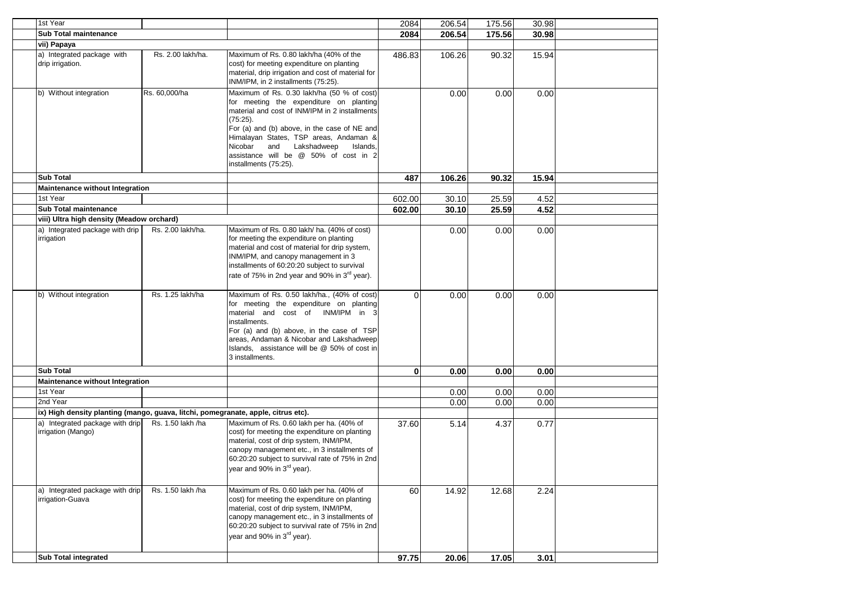| 1st Year                                                                          |                   |                                                                                                                                                                                                                                                                                                                                                              | 2084     | 206.54 | 175.56 | 30.98 |  |
|-----------------------------------------------------------------------------------|-------------------|--------------------------------------------------------------------------------------------------------------------------------------------------------------------------------------------------------------------------------------------------------------------------------------------------------------------------------------------------------------|----------|--------|--------|-------|--|
| <b>Sub Total maintenance</b>                                                      |                   |                                                                                                                                                                                                                                                                                                                                                              | 2084     | 206.54 | 175.56 | 30.98 |  |
| vii) Papaya                                                                       |                   |                                                                                                                                                                                                                                                                                                                                                              |          |        |        |       |  |
| a) Integrated package with                                                        | Rs. 2.00 lakh/ha. | Maximum of Rs. 0.80 lakh/ha (40% of the                                                                                                                                                                                                                                                                                                                      |          |        |        |       |  |
| drip irrigation.                                                                  |                   | cost) for meeting expenditure on planting<br>material, drip irrigation and cost of material for<br>INM/IPM, in 2 installments (75:25).                                                                                                                                                                                                                       | 486.83   | 106.26 | 90.32  | 15.94 |  |
| b) Without integration                                                            | Rs. 60,000/ha     | Maximum of Rs. 0.30 lakh/ha (50 % of cost)<br>for meeting the expenditure on planting<br>material and cost of INM/IPM in 2 installments<br>$(75.25)$ .<br>For (a) and (b) above, in the case of NE and<br>Himalayan States, TSP areas, Andaman &<br>and Lakshadweep<br>Nicobar<br>Islands,<br>assistance will be @ 50% of cost in 2<br>installments (75:25). |          | 0.00   | 0.00   | 0.00  |  |
| <b>Sub Total</b>                                                                  |                   |                                                                                                                                                                                                                                                                                                                                                              | 487      | 106.26 | 90.32  | 15.94 |  |
| <b>Maintenance without Integration</b>                                            |                   |                                                                                                                                                                                                                                                                                                                                                              |          |        |        |       |  |
| 1st Year                                                                          |                   |                                                                                                                                                                                                                                                                                                                                                              | 602.00   | 30.10  | 25.59  | 4.52  |  |
| <b>Sub Total maintenance</b>                                                      |                   |                                                                                                                                                                                                                                                                                                                                                              | 602.00   | 30.10  | 25.59  | 4.52  |  |
| viii) Ultra high density (Meadow orchard)                                         |                   |                                                                                                                                                                                                                                                                                                                                                              |          |        |        |       |  |
| a) Integrated package with drip<br>irrigation                                     | Rs. 2.00 lakh/ha. | Maximum of Rs. 0.80 lakh/ ha. (40% of cost)<br>for meeting the expenditure on planting<br>material and cost of material for drip system,<br>INM/IPM, and canopy management in 3<br>installments of 60:20:20 subject to survival<br>rate of 75% in 2nd year and 90% in 3 <sup>rd</sup> year).                                                                 |          | 0.00   | 0.00   | 0.00  |  |
| b) Without integration                                                            | Rs. 1.25 lakh/ha  | Maximum of Rs. 0.50 lakh/ha., (40% of cost)<br>for meeting the expenditure on planting<br>material and cost of INM/IPM in 3<br>installments.<br>For (a) and (b) above, in the case of TSP<br>areas, Andaman & Nicobar and Lakshadweep<br>Islands, assistance will be @ 50% of cost in<br>3 installments.                                                     | $\Omega$ | 0.00   | 0.00   | 0.00  |  |
| <b>Sub Total</b>                                                                  |                   |                                                                                                                                                                                                                                                                                                                                                              | $\bf{0}$ | 0.00   | 0.00   | 0.00  |  |
| <b>Maintenance without Integration</b>                                            |                   |                                                                                                                                                                                                                                                                                                                                                              |          |        |        |       |  |
| 1st Year                                                                          |                   |                                                                                                                                                                                                                                                                                                                                                              |          | 0.00   | 0.00   | 0.00  |  |
| 2nd Year                                                                          |                   |                                                                                                                                                                                                                                                                                                                                                              |          | 0.00   | 0.00   | 0.00  |  |
| ix) High density planting (mango, guava, litchi, pomegranate, apple, citrus etc). |                   |                                                                                                                                                                                                                                                                                                                                                              |          |        |        |       |  |
| a) Integrated package with drip<br>irrigation (Mango)                             | Rs. 1.50 lakh /ha | Maximum of Rs. 0.60 lakh per ha. (40% of<br>cost) for meeting the expenditure on planting<br>material, cost of drip system, INM/IPM,<br>canopy management etc., in 3 installments of<br>60:20:20 subject to survival rate of 75% in 2nd<br>year and 90% in 3 <sup>rd</sup> year).                                                                            | 37.60    | 5.14   | 4.37   | 0.77  |  |
| a) Integrated package with drip<br>irrigation-Guava                               | Rs. 1.50 lakh /ha | Maximum of Rs. 0.60 lakh per ha. (40% of<br>cost) for meeting the expenditure on planting<br>material, cost of drip system, INM/IPM,<br>canopy management etc., in 3 installments of<br>60:20:20 subject to survival rate of 75% in 2nd<br>year and 90% in 3 <sup>rd</sup> year).                                                                            | 60       | 14.92  | 12.68  | 2.24  |  |
| <b>Sub Total integrated</b>                                                       |                   |                                                                                                                                                                                                                                                                                                                                                              | 97.75    | 20.06  | 17.05  | 3.01  |  |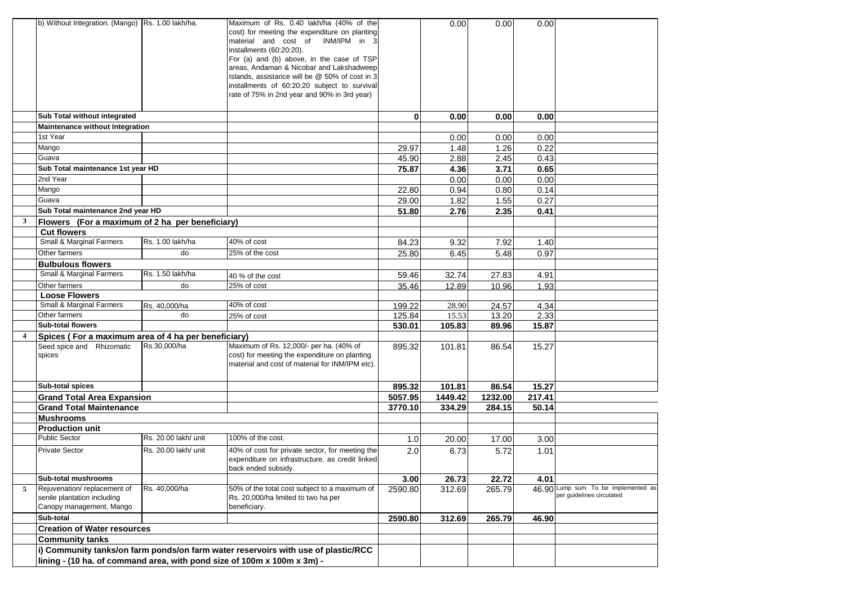|                | b) Without Integration. (Mango) Rs. 1.00 lakh/ha.                                                                                                            |                      | Maximum of Rs. 0.40 lakh/ha (40% of the<br>cost) for meeting the expenditure on planting<br>material and cost of INM/IPM in 3<br>installments (60:20:20).<br>For (a) and (b) above, in the case of TSP<br>areas, Andaman & Nicobar and Lakshadweep<br>Islands, assistance will be @ 50% of cost in 3<br>installments of 60:20:20 subject to survival<br>rate of 75% in 2nd year and 90% in 3rd year) |              | 0.00    | 0.00    | 0.00   |                                                                   |
|----------------|--------------------------------------------------------------------------------------------------------------------------------------------------------------|----------------------|------------------------------------------------------------------------------------------------------------------------------------------------------------------------------------------------------------------------------------------------------------------------------------------------------------------------------------------------------------------------------------------------------|--------------|---------|---------|--------|-------------------------------------------------------------------|
|                |                                                                                                                                                              |                      |                                                                                                                                                                                                                                                                                                                                                                                                      |              |         |         |        |                                                                   |
|                | Sub Total without integrated                                                                                                                                 |                      |                                                                                                                                                                                                                                                                                                                                                                                                      | $\mathbf{0}$ | 0.00    | 0.00    | 0.00   |                                                                   |
|                | Maintenance without Integration                                                                                                                              |                      |                                                                                                                                                                                                                                                                                                                                                                                                      |              |         |         |        |                                                                   |
|                | 1st Year                                                                                                                                                     |                      |                                                                                                                                                                                                                                                                                                                                                                                                      |              | 0.00    | 0.00    | 0.00   |                                                                   |
|                | Mango                                                                                                                                                        |                      |                                                                                                                                                                                                                                                                                                                                                                                                      | 29.97        | 1.48    | 1.26    | 0.22   |                                                                   |
|                | Guava                                                                                                                                                        |                      |                                                                                                                                                                                                                                                                                                                                                                                                      | 45.90        | 2.88    | 2.45    | 0.43   |                                                                   |
|                | Sub Total maintenance 1st year HD                                                                                                                            |                      |                                                                                                                                                                                                                                                                                                                                                                                                      | 75.87        | 4.36    | 3.71    | 0.65   |                                                                   |
|                | 2nd Year                                                                                                                                                     |                      |                                                                                                                                                                                                                                                                                                                                                                                                      |              | 0.00    | 0.00    | 0.00   |                                                                   |
|                | Mango                                                                                                                                                        |                      |                                                                                                                                                                                                                                                                                                                                                                                                      | 22.80        | 0.94    | 0.80    | 0.14   |                                                                   |
|                | Guava                                                                                                                                                        |                      |                                                                                                                                                                                                                                                                                                                                                                                                      | 29.00        | 1.82    | 1.55    | 0.27   |                                                                   |
|                | Sub Total maintenance 2nd year HD                                                                                                                            |                      |                                                                                                                                                                                                                                                                                                                                                                                                      | 51.80        | 2.76    | 2.35    | 0.41   |                                                                   |
| $\mathbf{3}$   | Flowers (For a maximum of 2 ha per beneficiary)                                                                                                              |                      |                                                                                                                                                                                                                                                                                                                                                                                                      |              |         |         |        |                                                                   |
|                | <b>Cut flowers</b>                                                                                                                                           |                      |                                                                                                                                                                                                                                                                                                                                                                                                      |              |         |         |        |                                                                   |
|                | Small & Marginal Farmers                                                                                                                                     | Rs. 1.00 lakh/ha     | 40% of cost                                                                                                                                                                                                                                                                                                                                                                                          | 84.23        | 9.32    | 7.92    | 1.40   |                                                                   |
|                | Other farmers                                                                                                                                                | do                   | 25% of the cost                                                                                                                                                                                                                                                                                                                                                                                      | 25.80        | 6.45    | 5.48    | 0.97   |                                                                   |
|                | <b>Bulbulous flowers</b>                                                                                                                                     |                      |                                                                                                                                                                                                                                                                                                                                                                                                      |              |         |         |        |                                                                   |
|                | Small & Marginal Farmers                                                                                                                                     | Rs. 1.50 lakh/ha     | 40 % of the cost                                                                                                                                                                                                                                                                                                                                                                                     | 59.46        | 32.74   | 27.83   | 4.91   |                                                                   |
|                | Other farmers                                                                                                                                                | do                   | 25% of cost                                                                                                                                                                                                                                                                                                                                                                                          | 35.46        | 12.89   | 10.96   | 1.93   |                                                                   |
|                | <b>Loose Flowers</b>                                                                                                                                         |                      |                                                                                                                                                                                                                                                                                                                                                                                                      |              |         |         |        |                                                                   |
|                | Small & Marginal Farmers                                                                                                                                     | Rs. 40,000/ha        | 40% of cost                                                                                                                                                                                                                                                                                                                                                                                          | 199.22       | 28.90   | 24.57   | 4.34   |                                                                   |
|                | Other farmers                                                                                                                                                | do                   | 25% of cost                                                                                                                                                                                                                                                                                                                                                                                          | 125.84       | 15.53   | 13.20   | 2.33   |                                                                   |
|                | <b>Sub-total flowers</b>                                                                                                                                     |                      |                                                                                                                                                                                                                                                                                                                                                                                                      | 530.01       | 105.83  | 89.96   | 15.87  |                                                                   |
| $\overline{4}$ | Spices (For a maximum area of 4 ha per beneficiary)                                                                                                          |                      |                                                                                                                                                                                                                                                                                                                                                                                                      |              |         |         |        |                                                                   |
|                | Seed spice and Rhizomatic<br>spices                                                                                                                          | Rs.30,000/ha         | Maximum of Rs. 12,000/- per ha. (40% of<br>cost) for meeting the expenditure on planting<br>material and cost of material for INM/IPM etc).                                                                                                                                                                                                                                                          | 895.32       | 101.81  | 86.54   | 15.27  |                                                                   |
|                | Sub-total spices                                                                                                                                             |                      |                                                                                                                                                                                                                                                                                                                                                                                                      | 895.32       | 101.81  | 86.54   | 15.27  |                                                                   |
|                | <b>Grand Total Area Expansion</b>                                                                                                                            |                      |                                                                                                                                                                                                                                                                                                                                                                                                      | 5057.95      | 1449.42 | 1232.00 | 217.41 |                                                                   |
|                | <b>Grand Total Maintenance</b>                                                                                                                               |                      |                                                                                                                                                                                                                                                                                                                                                                                                      | 3770.10      | 334.29  | 284.15  | 50.14  |                                                                   |
|                | <b>Mushrooms</b>                                                                                                                                             |                      |                                                                                                                                                                                                                                                                                                                                                                                                      |              |         |         |        |                                                                   |
|                | <b>Production unit</b>                                                                                                                                       |                      |                                                                                                                                                                                                                                                                                                                                                                                                      |              |         |         |        |                                                                   |
|                | <b>Public Sector</b>                                                                                                                                         | Rs. 20.00 lakh/ unit | 100% of the cost.                                                                                                                                                                                                                                                                                                                                                                                    | 1.0          | 20.00   | 17.00   | 3.00   |                                                                   |
|                | <b>Private Sector</b>                                                                                                                                        | Rs. 20.00 lakh/ unit | 40% of cost for private sector, for meeting the<br>expenditure on infrastructure, as credit linked<br>back ended subsidy.                                                                                                                                                                                                                                                                            | 2.0          | 6.73    | 5.72    | 1.01   |                                                                   |
|                | Sub-total mushrooms                                                                                                                                          |                      |                                                                                                                                                                                                                                                                                                                                                                                                      | 3.00         | 26.73   | 22.72   | 4.01   |                                                                   |
| 5              | Rejuvenation/replacement of<br>senile plantation including<br>Canopy management. Mango                                                                       | Rs. 40,000/ha        | 50% of the total cost subject to a maximum of<br>Rs. 20,000/ha limited to two ha per<br>beneficiary.                                                                                                                                                                                                                                                                                                 | 2590.80      | 312.69  | 265.79  |        | 46.90 Lump sum. To be implemented as<br>per guidelines circulated |
|                | Sub-total                                                                                                                                                    |                      |                                                                                                                                                                                                                                                                                                                                                                                                      | 2590.80      | 312.69  | 265.79  | 46.90  |                                                                   |
|                | <b>Creation of Water resources</b>                                                                                                                           |                      |                                                                                                                                                                                                                                                                                                                                                                                                      |              |         |         |        |                                                                   |
|                | <b>Community tanks</b>                                                                                                                                       |                      |                                                                                                                                                                                                                                                                                                                                                                                                      |              |         |         |        |                                                                   |
|                | i) Community tanks/on farm ponds/on farm water reservoirs with use of plastic/RCC<br>lining - (10 ha. of command area, with pond size of 100m x 100m x 3m) - |                      |                                                                                                                                                                                                                                                                                                                                                                                                      |              |         |         |        |                                                                   |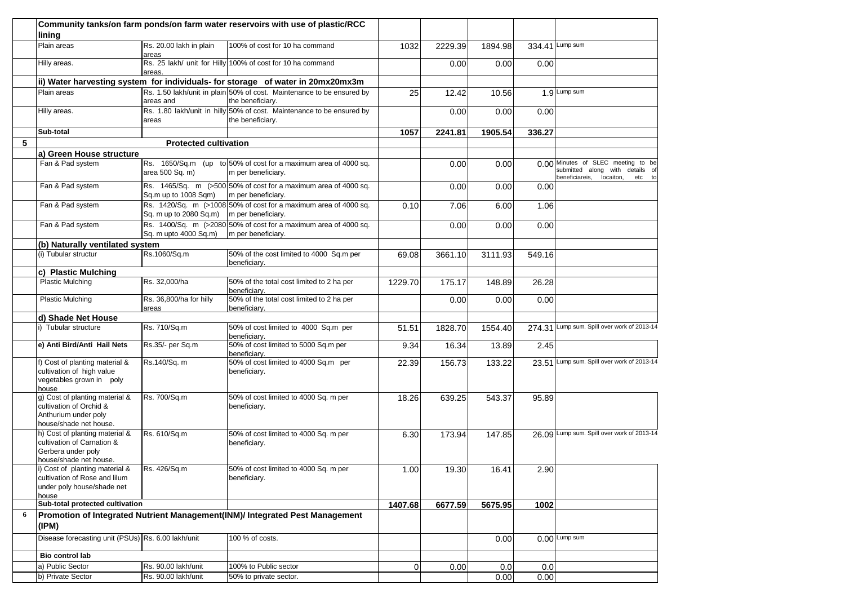|   | lining                                                                                                       |                                  | Community tanks/on farm ponds/on farm water reservoirs with use of plastic/RCC            |         |         |         |        |                                                                                                             |
|---|--------------------------------------------------------------------------------------------------------------|----------------------------------|-------------------------------------------------------------------------------------------|---------|---------|---------|--------|-------------------------------------------------------------------------------------------------------------|
|   | Plain areas                                                                                                  | Rs. 20.00 lakh in plain          | 100% of cost for 10 ha command                                                            | 1032    | 2229.39 | 1894.98 |        | 334.41 Lump sum                                                                                             |
|   | Hilly areas.                                                                                                 | areas<br>areas.                  | Rs. 25 lakh/ unit for Hilly 100% of cost for 10 ha command                                |         | 0.00    | 0.00    | 0.00   |                                                                                                             |
|   |                                                                                                              |                                  | ii) Water harvesting system for individuals- for storage of water in 20mx20mx3m           |         |         |         |        |                                                                                                             |
|   | Plain areas                                                                                                  | areas and                        | Rs. 1.50 lakh/unit in plain 50% of cost. Maintenance to be ensured by<br>the beneficiary. | 25      | 12.42   | 10.56   |        | 1.9 Lump sum                                                                                                |
|   | Hilly areas.                                                                                                 | areas                            | Rs. 1.80 lakh/unit in hilly 50% of cost. Maintenance to be ensured by<br>the beneficiary. |         | 0.00    | 0.00    | 0.00   |                                                                                                             |
|   | Sub-total                                                                                                    |                                  |                                                                                           |         |         | 1905.54 |        |                                                                                                             |
| 5 |                                                                                                              |                                  |                                                                                           | 1057    | 2241.81 |         | 336.27 |                                                                                                             |
|   |                                                                                                              | <b>Protected cultivation</b>     |                                                                                           |         |         |         |        |                                                                                                             |
|   | a) Green House structure<br>Fan & Pad system                                                                 | area 500 Sq. m)                  | Rs. 1650/Sq.m (up to 50% of cost for a maximum area of 4000 sq.<br>m per beneficiary.     |         | 0.00    | 0.00    |        | 0.00 Minutes of SLEC meeting to be<br>submitted along with details of<br>beneficiareis, locaiton,<br>etc to |
|   | Fan & Pad system                                                                                             | Sq.m up to 1008 Sqm)             | Rs. 1465/Sq. m (>500 50% of cost for a maximum area of 4000 sq.<br>m per beneficiary.     |         | 0.00    | 0.00    | 0.00   |                                                                                                             |
|   | Fan & Pad system                                                                                             | Sq. m up to 2080 Sq.m)           | Rs. 1420/Sq. m (>1008 50% of cost for a maximum area of 4000 sq.<br>m per beneficiary.    | 0.10    | 7.06    | 6.00    | 1.06   |                                                                                                             |
|   | Fan & Pad system                                                                                             | Sq. m upto 4000 Sq.m)            | Rs. 1400/Sq. m (>2080 50% of cost for a maximum area of 4000 sq.<br>m per beneficiary.    |         | 0.00    | 0.00    | 0.00   |                                                                                                             |
|   | (b) Naturally ventilated system                                                                              |                                  |                                                                                           |         |         |         |        |                                                                                                             |
|   | (i) Tubular structur                                                                                         | Rs.1060/Sq.m                     | 50% of the cost limited to 4000 Sq.m per<br>beneficiary.                                  | 69.08   | 3661.10 | 3111.93 | 549.16 |                                                                                                             |
|   | c) Plastic Mulching                                                                                          |                                  |                                                                                           |         |         |         |        |                                                                                                             |
|   | <b>Plastic Mulching</b>                                                                                      | Rs. 32,000/ha                    | 50% of the total cost limited to 2 ha per<br>beneficiary.                                 | 1229.70 | 175.17  | 148.89  | 26.28  |                                                                                                             |
|   | <b>Plastic Mulching</b>                                                                                      | Rs. 36,800/ha for hilly<br>areas | 50% of the total cost limited to 2 ha per<br>beneficiary.                                 |         | 0.00    | 0.00    | 0.00   |                                                                                                             |
|   | d) Shade Net House                                                                                           |                                  |                                                                                           |         |         |         |        |                                                                                                             |
|   | i) Tubular structure                                                                                         | Rs. 710/Sq.m                     | 50% of cost limited to 4000 Sq.m per<br>beneficiary.                                      | 51.51   | 1828.70 | 1554.40 |        | 274.31 Lump sum. Spill over work of 2013-14                                                                 |
|   | e) Anti Bird/Anti Hail Nets                                                                                  | Rs.35/- per Sq.m                 | 50% of cost limited to 5000 Sq.m per<br>beneficiary.                                      | 9.34    | 16.34   | 13.89   | 2.45   |                                                                                                             |
|   | f) Cost of planting material &<br>cultivation of high value<br>vegetables grown in poly<br>house             | Rs.140/Sq. m                     | 50% of cost limited to 4000 Sq.m per<br>beneficiary.                                      | 22.39   | 156.73  | 133.22  |        | 23.51 Lump sum. Spill over work of 2013-14                                                                  |
|   | g) Cost of planting material &<br>cultivation of Orchid &<br>Anthurium under poly<br>house/shade net house.  | Rs. 700/Sq.m                     | 50% of cost limited to 4000 Sq. m per<br>beneficiary.                                     | 18.26   | 639.25  | 543.37  | 95.89  |                                                                                                             |
|   | h) Cost of planting material &<br>cultivation of Carnation &<br>Gerbera under poly<br>house/shade net house. | Rs. 610/Sq.m                     | 50% of cost limited to 4000 Sq. m per<br>beneficiary.                                     | 6.30    | 173.94  | 147.85  |        | 26.09 Lump sum. Spill over work of 2013-14                                                                  |
|   | i) Cost of planting material &<br>cultivation of Rose and lilum<br>under poly house/shade net<br>house       | Rs. 426/Sq.m                     | 50% of cost limited to 4000 Sq. m per<br>beneficiary.                                     | 1.00    | 19.30   | 16.41   | 2.90   |                                                                                                             |
|   | Sub-total protected cultivation                                                                              |                                  |                                                                                           | 1407.68 | 6677.59 | 5675.95 | 1002   |                                                                                                             |
| 6 | Promotion of Integrated Nutrient Management(INM)/ Integrated Pest Management<br>(IPM)                        |                                  |                                                                                           |         |         |         |        |                                                                                                             |
|   | Disease forecasting unit (PSUs) Rs. 6.00 lakh/unit                                                           |                                  | 100 % of costs.                                                                           |         |         | 0.00    |        | 0.00 Lump sum                                                                                               |
|   | Bio control lab                                                                                              |                                  |                                                                                           |         |         |         |        |                                                                                                             |
|   | a) Public Sector                                                                                             | Rs. 90.00 lakh/unit              | 100% to Public sector                                                                     | 0       | 0.00    | 0.0     | 0.0    |                                                                                                             |
|   | b) Private Sector                                                                                            | Rs. 90.00 lakh/unit              | 50% to private sector.                                                                    |         |         | 0.00    | 0.00   |                                                                                                             |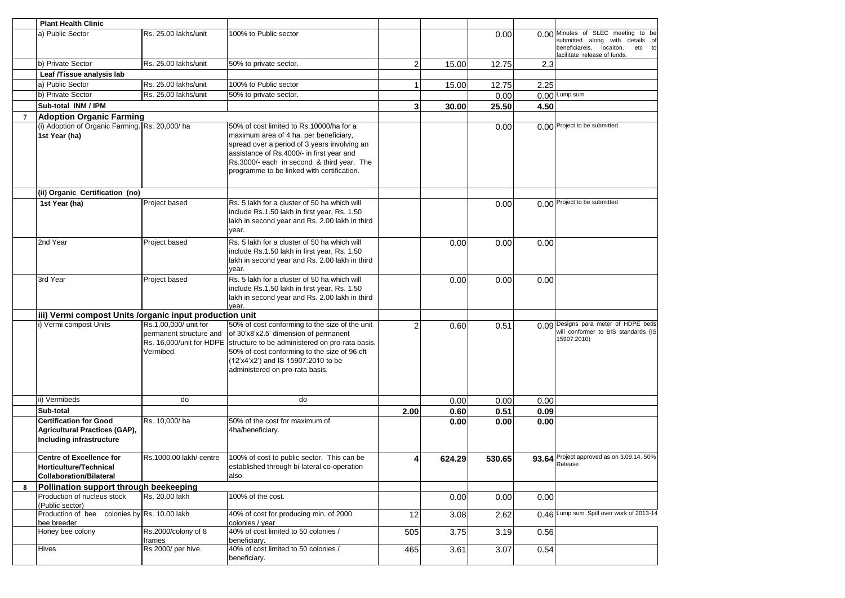|                | <b>Plant Health Clinic</b>                                  |                               |                                                                                              |                |        |        |      |                                                                          |
|----------------|-------------------------------------------------------------|-------------------------------|----------------------------------------------------------------------------------------------|----------------|--------|--------|------|--------------------------------------------------------------------------|
|                | a) Public Sector                                            | Rs. 25.00 lakhs/unit          | 100% to Public sector                                                                        |                |        | 0.00   |      | 0.00 Minutes of SLEC meeting to be                                       |
|                |                                                             |                               |                                                                                              |                |        |        |      | submitted along with details of<br>beneficiareis,<br>locaiton,<br>etc to |
|                |                                                             |                               |                                                                                              |                |        |        |      | facilitate release of funds.                                             |
|                | b) Private Sector                                           | Rs. 25.00 lakhs/unit          | 50% to private sector.                                                                       | $\overline{2}$ | 15.00  | 12.75  | 2.3  |                                                                          |
|                | Leaf /Tissue analysis lab                                   |                               |                                                                                              |                |        |        |      |                                                                          |
|                | a) Public Sector                                            | Rs. 25.00 lakhs/unit          | 100% to Public sector                                                                        | 1              | 15.00  | 12.75  | 2.25 |                                                                          |
|                | b) Private Sector                                           | Rs. 25.00 lakhs/unit          | 50% to private sector.                                                                       |                |        | 0.00   |      | 0.00 Lump sum                                                            |
|                | Sub-total INM / IPM                                         |                               |                                                                                              | 3              | 30.00  | 25.50  | 4.50 |                                                                          |
| $\overline{7}$ | <b>Adoption Organic Farming</b>                             |                               |                                                                                              |                |        |        |      |                                                                          |
|                | (i) Adoption of Organic Farming. Rs. 20,000/ha              |                               | 50% of cost limited to Rs.10000/ha for a                                                     |                |        | 0.00   |      | 0.00 Project to be submitted                                             |
|                | 1st Year (ha)                                               |                               | maximum area of 4 ha. per beneficiary,<br>spread over a period of 3 years involving an       |                |        |        |      |                                                                          |
|                |                                                             |                               | assistance of Rs.4000/- in first year and                                                    |                |        |        |      |                                                                          |
|                |                                                             |                               | Rs.3000/- each in second & third year. The                                                   |                |        |        |      |                                                                          |
|                |                                                             |                               | programme to be linked with certification.                                                   |                |        |        |      |                                                                          |
|                |                                                             |                               |                                                                                              |                |        |        |      |                                                                          |
|                | (ii) Organic Certification (no)                             |                               |                                                                                              |                |        |        |      |                                                                          |
|                | 1st Year (ha)                                               | Project based                 | Rs. 5 lakh for a cluster of 50 ha which will                                                 |                |        | 0.00   |      | 0.00 Project to be submitted                                             |
|                |                                                             |                               | include Rs.1.50 lakh in first year, Rs. 1.50                                                 |                |        |        |      |                                                                          |
|                |                                                             |                               | lakh in second year and Rs. 2.00 lakh in third<br>year.                                      |                |        |        |      |                                                                          |
|                |                                                             |                               |                                                                                              |                |        |        |      |                                                                          |
|                | 2nd Year                                                    | Project based                 | Rs. 5 lakh for a cluster of 50 ha which will<br>include Rs.1.50 lakh in first year, Rs. 1.50 |                | 0.00   | 0.00   | 0.00 |                                                                          |
|                |                                                             |                               | lakh in second year and Rs. 2.00 lakh in third                                               |                |        |        |      |                                                                          |
|                |                                                             |                               | year.                                                                                        |                |        |        |      |                                                                          |
|                | 3rd Year                                                    | Project based                 | Rs. 5 lakh for a cluster of 50 ha which will                                                 |                | 0.00   | 0.00   | 0.00 |                                                                          |
|                |                                                             |                               | include Rs.1.50 lakh in first year, Rs. 1.50                                                 |                |        |        |      |                                                                          |
|                |                                                             |                               | lakh in second year and Rs. 2.00 lakh in third                                               |                |        |        |      |                                                                          |
|                | iii) Vermi compost Units /organic input production unit     |                               | year.                                                                                        |                |        |        |      |                                                                          |
|                | i) Vermi compost Units                                      | Rs.1,00,000/ unit for         | 50% of cost conforming to the size of the unit                                               | $\overline{2}$ | 0.60   | 0.51   |      | 0.09 Designs para meter of HDPE beds                                     |
|                |                                                             | permanent structure and       | of 30'x8'x2.5' dimension of permanent                                                        |                |        |        |      | will conformer to BIS standards (IS<br>15907:2010)                       |
|                |                                                             |                               | Rs. 16,000/unit for HDPE structure to be administered on pro-rata basis.                     |                |        |        |      |                                                                          |
|                |                                                             | Vermibed.                     | 50% of cost conforming to the size of 96 cft                                                 |                |        |        |      |                                                                          |
|                |                                                             |                               | (12'x4'x2') and IS 15907:2010 to be<br>administered on pro-rata basis.                       |                |        |        |      |                                                                          |
|                |                                                             |                               |                                                                                              |                |        |        |      |                                                                          |
|                |                                                             |                               |                                                                                              |                |        |        |      |                                                                          |
|                | ii) Vermibeds                                               | do                            | do                                                                                           |                | 0.00   | 0.00   | 0.00 |                                                                          |
|                | Sub-total                                                   |                               |                                                                                              | 2.00           | 0.60   | 0.51   | 0.09 |                                                                          |
|                | <b>Certification for Good</b>                               | Rs. 10,000/ha                 | 50% of the cost for maximum of                                                               |                | 0.00   | 0.00   | 0.00 |                                                                          |
|                | Agricultural Practices (GAP),                               |                               | 4ha/beneficiary.                                                                             |                |        |        |      |                                                                          |
|                | Including infrastructure                                    |                               |                                                                                              |                |        |        |      |                                                                          |
|                | <b>Centre of Excellence for</b>                             | Rs.1000.00 lakh/ centre       | 100% of cost to public sector. This can be                                                   | 4              |        | 530.65 |      | 93.64 Project approved as on 3.09.14. 50%                                |
|                | Horticulture/Technical                                      |                               | established through bi-lateral co-operation                                                  |                | 624.29 |        |      | Release                                                                  |
|                | <b>Collaboration/Bilateral</b>                              |                               | also.                                                                                        |                |        |        |      |                                                                          |
| 8              | Pollination support through beekeeping                      |                               |                                                                                              |                |        |        |      |                                                                          |
|                | Production of nucleus stock<br>(Public sector)              | Rs. 20.00 lakh                | 100% of the cost.                                                                            |                | 0.00   | 0.00   | 0.00 |                                                                          |
|                | Production of bee colonies by Rs. 10.00 lakh<br>bee breeder |                               | 40% of cost for producing min. of 2000<br>colonies / year                                    | 12             | 3.08   | 2.62   |      | 0.46 Lump sum. Spill over work of 2013-14                                |
|                | Honey bee colony                                            | Rs.2000/colony of 8<br>frames | 40% of cost limited to 50 colonies /<br>beneficiary.                                         | 505            | 3.75   | 3.19   | 0.56 |                                                                          |
|                | Hives                                                       | Rs 2000/ per hive.            | 40% of cost limited to 50 colonies /                                                         | 465            | 3.61   | 3.07   | 0.54 |                                                                          |
|                |                                                             |                               | beneficiary.                                                                                 |                |        |        |      |                                                                          |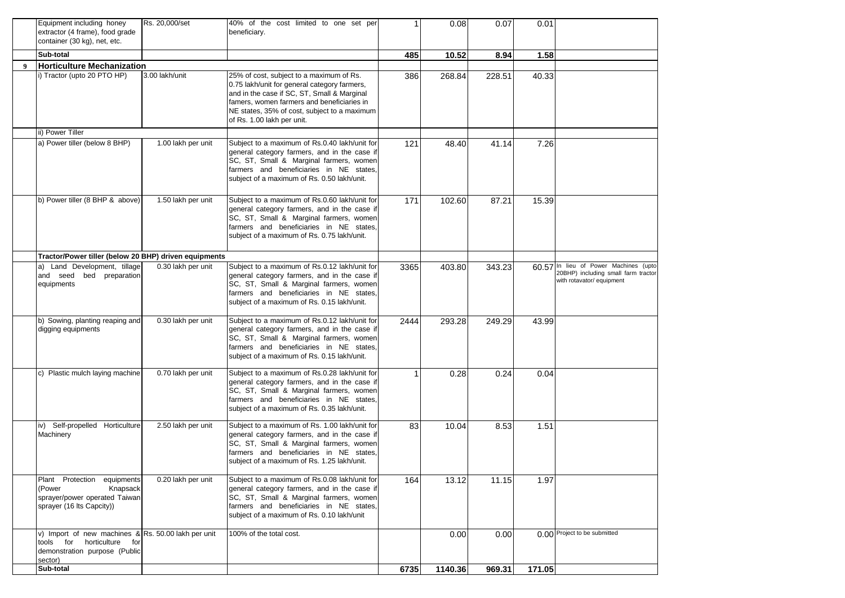|   | Equipment including honey<br>extractor (4 frame), food grade<br>container (30 kg), net, etc.                                     | Rs. 20,000/set     | 40% of the cost limited to one set per<br>beneficiary.                                                                                                                                                                                                              | -1   | 0.08    | 0.07   | 0.01   |                                                                                                           |
|---|----------------------------------------------------------------------------------------------------------------------------------|--------------------|---------------------------------------------------------------------------------------------------------------------------------------------------------------------------------------------------------------------------------------------------------------------|------|---------|--------|--------|-----------------------------------------------------------------------------------------------------------|
|   | Sub-total                                                                                                                        |                    |                                                                                                                                                                                                                                                                     | 485  | 10.52   | 8.94   | 1.58   |                                                                                                           |
| 9 | <b>Horticulture Mechanization</b>                                                                                                |                    |                                                                                                                                                                                                                                                                     |      |         |        |        |                                                                                                           |
|   | i) Tractor (upto 20 PTO HP)                                                                                                      | 3.00 lakh/unit     | 25% of cost, subject to a maximum of Rs.<br>0.75 lakh/unit for general category farmers,<br>and in the case if SC, ST, Small & Marginal<br>famers, women farmers and beneficiaries in<br>NE states, 35% of cost, subject to a maximum<br>of Rs. 1.00 lakh per unit. | 386  | 268.84  | 228.51 | 40.33  |                                                                                                           |
|   | ii) Power Tiller                                                                                                                 |                    |                                                                                                                                                                                                                                                                     |      |         |        |        |                                                                                                           |
|   | a) Power tiller (below 8 BHP)                                                                                                    | 1.00 lakh per unit | Subject to a maximum of Rs.0.40 lakh/unit for<br>general category farmers, and in the case if<br>SC, ST, Small & Marginal farmers, women<br>farmers and beneficiaries in NE states,<br>subject of a maximum of Rs. 0.50 lakh/unit.                                  | 121  | 48.40   | 41.14  | 7.26   |                                                                                                           |
|   | b) Power tiller (8 BHP & above)                                                                                                  | 1.50 lakh per unit | Subject to a maximum of Rs.0.60 lakh/unit for<br>general category farmers, and in the case if<br>SC, ST, Small & Marginal farmers, women<br>farmers and beneficiaries in NE states,<br>subject of a maximum of Rs. 0.75 lakh/unit.                                  | 171  | 102.60  | 87.21  | 15.39  |                                                                                                           |
|   | Tractor/Power tiller (below 20 BHP) driven equipments                                                                            |                    |                                                                                                                                                                                                                                                                     |      |         |        |        |                                                                                                           |
|   | a) Land Development, tillage<br>and seed bed preparation<br>equipments                                                           | 0.30 lakh per unit | Subject to a maximum of Rs.0.12 lakh/unit for<br>general category farmers, and in the case if<br>SC, ST, Small & Marginal farmers, women<br>farmers and beneficiaries in NE states.<br>subject of a maximum of Rs. 0.15 lakh/unit.                                  | 3365 | 403.80  | 343.23 |        | 60.57 In lieu of Power Machines (upto<br>20BHP) including small farm tractor<br>with rotavator/ equipment |
|   | b) Sowing, planting reaping and<br>digging equipments                                                                            | 0.30 lakh per unit | Subject to a maximum of Rs.0.12 lakh/unit for<br>general category farmers, and in the case if<br>SC, ST, Small & Marginal farmers, women<br>farmers and beneficiaries in NE states,<br>subject of a maximum of Rs. 0.15 lakh/unit.                                  | 2444 | 293.28  | 249.29 | 43.99  |                                                                                                           |
|   | c) Plastic mulch laying machine                                                                                                  | 0.70 lakh per unit | Subject to a maximum of Rs.0.28 lakh/unit for<br>general category farmers, and in the case if<br>SC, ST, Small & Marginal farmers, women<br>farmers and beneficiaries in NE states,<br>subject of a maximum of Rs. 0.35 lakh/unit.                                  | -1   | 0.28    | 0.24   | 0.04   |                                                                                                           |
|   | iv) Self-propelled Horticulture<br>Machinery                                                                                     | 2.50 lakh per unit | Subject to a maximum of Rs. 1.00 lakh/unit for<br>general category farmers, and in the case if<br>SC, ST, Small & Marginal farmers, women<br>farmers and beneficiaries in NE states,<br>subject of a maximum of Rs. 1.25 lakh/unit.                                 | 83   | 10.04   | 8.53   | 1.51   |                                                                                                           |
|   | Plant Protection equipments<br>Knapsack<br>(Power<br>sprayer/power operated Taiwan<br>sprayer (16 lts Capcity))                  | 0.20 lakh per unit | Subject to a maximum of Rs.0.08 lakh/unit for<br>general category farmers, and in the case if<br>SC, ST, Small & Marginal farmers, women<br>farmers and beneficiaries in NE states,<br>subject of a maximum of Rs. 0.10 lakh/unit                                   | 164  | 13.12   | 11.15  | 1.97   |                                                                                                           |
|   | v) Import of new machines & Rs. 50.00 lakh per unit<br>tools for horticulture<br>for<br>demonstration purpose (Public<br>sector) |                    | 100% of the total cost.                                                                                                                                                                                                                                             |      | 0.00    | 0.00   |        | 0.00 Project to be submitted                                                                              |
|   | Sub-total                                                                                                                        |                    |                                                                                                                                                                                                                                                                     | 6735 | 1140.36 | 969.31 | 171.05 |                                                                                                           |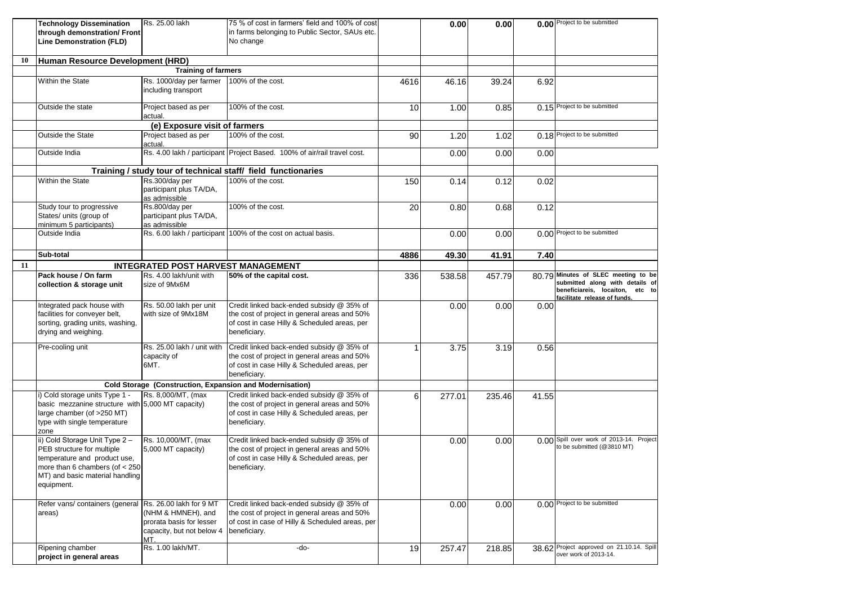|    | <b>Technology Dissemination</b><br>through demonstration/ Front<br><b>Line Demonstration (FLD)</b>                                                                               | Rs. 25.00 lakh                                                                     | 75 % of cost in farmers' field and 100% of cost<br>in farms belonging to Public Sector, SAUs etc.<br>No change                                               |      | 0.00   | 0.00   |       | 0.00 Project to be submitted                                                                                                              |
|----|----------------------------------------------------------------------------------------------------------------------------------------------------------------------------------|------------------------------------------------------------------------------------|--------------------------------------------------------------------------------------------------------------------------------------------------------------|------|--------|--------|-------|-------------------------------------------------------------------------------------------------------------------------------------------|
| 10 | Human Resource Development (HRD)                                                                                                                                                 |                                                                                    |                                                                                                                                                              |      |        |        |       |                                                                                                                                           |
|    |                                                                                                                                                                                  | <b>Training of farmers</b>                                                         |                                                                                                                                                              |      |        |        |       |                                                                                                                                           |
|    | Within the State                                                                                                                                                                 | Rs. 1000/day per farmer<br>including transport                                     | 100% of the cost.                                                                                                                                            | 4616 | 46.16  | 39.24  | 6.92  |                                                                                                                                           |
|    | Outside the state                                                                                                                                                                | Project based as per<br>actual.                                                    | 100% of the cost.                                                                                                                                            | 10   | 1.00   | 0.85   |       | 0.15 Project to be submitted                                                                                                              |
|    |                                                                                                                                                                                  | (e) Exposure visit of farmers                                                      |                                                                                                                                                              |      |        |        |       |                                                                                                                                           |
|    | <b>Outside the State</b>                                                                                                                                                         | Project based as per<br>actual.                                                    | 100% of the cost.                                                                                                                                            | 90   | 1.20   | 1.02   |       | 0.18 Project to be submitted                                                                                                              |
|    | Outside India                                                                                                                                                                    |                                                                                    | Rs. 4.00 lakh / participant Project Based. 100% of air/rail travel cost.                                                                                     |      | 0.00   | 0.00   | 0.00  |                                                                                                                                           |
|    |                                                                                                                                                                                  |                                                                                    | Training / study tour of technical staff/ field functionaries                                                                                                |      |        |        |       |                                                                                                                                           |
|    | Within the State                                                                                                                                                                 | Rs.300/day per<br>participant plus TA/DA,<br>as admissible                         | 100% of the cost.                                                                                                                                            | 150  | 0.14   | 0.12   | 0.02  |                                                                                                                                           |
|    | Study tour to progressive<br>States/ units (group of<br>minimum 5 participants)                                                                                                  | Rs.800/day per<br>participant plus TA/DA,<br>as admissible                         | 100% of the cost.                                                                                                                                            | 20   | 0.80   | 0.68   | 0.12  |                                                                                                                                           |
|    | Outside India                                                                                                                                                                    |                                                                                    | Rs. 6.00 lakh / participant 100% of the cost on actual basis.                                                                                                |      | 0.00   | 0.00   |       | 0.00 Project to be submitted                                                                                                              |
|    | Sub-total                                                                                                                                                                        |                                                                                    |                                                                                                                                                              | 4886 | 49.30  | 41.91  | 7.40  |                                                                                                                                           |
| 11 |                                                                                                                                                                                  | <b>INTEGRATED POST HARVEST MANAGEMENT</b>                                          |                                                                                                                                                              |      |        |        |       |                                                                                                                                           |
|    | Pack house / On farm<br>collection & storage unit                                                                                                                                | Rs. 4.00 lakh/unit with<br>size of 9Mx6M                                           | 50% of the capital cost.                                                                                                                                     | 336  | 538.58 | 457.79 |       | 80.79 Minutes of SLEC meeting to be<br>submitted along with details of<br>beneficiareis, locaiton, etc to<br>facilitate release of funds. |
|    | Integrated pack house with<br>facilities for conveyer belt,<br>sorting, grading units, washing,<br>drying and weighing.                                                          | Rs. 50.00 lakh per unit<br>with size of 9Mx18M                                     | Credit linked back-ended subsidy @ 35% of<br>the cost of project in general areas and 50%<br>of cost in case Hilly & Scheduled areas, per<br>beneficiary.    |      | 0.00   | 0.00   | 0.00  |                                                                                                                                           |
|    | Pre-cooling unit                                                                                                                                                                 | Rs. 25.00 lakh / unit with<br>capacity of<br>6MT.                                  | Credit linked back-ended subsidy @ 35% of<br>the cost of project in general areas and 50%<br>of cost in case Hilly & Scheduled areas, per<br>beneficiary.    | 1    | 3.75   | 3.19   | 0.56  |                                                                                                                                           |
|    |                                                                                                                                                                                  | Cold Storage (Construction, Expansion and Modernisation)                           |                                                                                                                                                              |      |        |        |       |                                                                                                                                           |
|    | i) Cold storage units Type 1 -<br>basic mezzanine structure with 5,000 MT capacity)<br>large chamber (of >250 MT)<br>type with single temperature<br>zone                        | Rs. 8,000/MT, (max                                                                 | Credit linked back-ended subsidy @ 35% of<br>the cost of project in general areas and 50%<br>of cost in case Hilly & Scheduled areas, per<br>beneficiary.    | 6    | 277.01 | 235.46 | 41.55 |                                                                                                                                           |
|    | ii) Cold Storage Unit Type 2-<br>PEB structure for multiple<br>temperature and product use,<br>more than 6 chambers (of $<$ 250<br>MT) and basic material handling<br>equipment. | Rs. 10,000/MT, (max<br>5,000 MT capacity)                                          | Credit linked back-ended subsidy @ 35% of<br>the cost of project in general areas and 50%<br>of cost in case Hilly & Scheduled areas, per<br>beneficiary.    |      | 0.00   | 0.00   |       | 0.00 Spill over work of 2013-14. Project<br>to be submitted (@3810 MT)                                                                    |
|    | Refer vans/ containers (general Rs. 26.00 lakh for 9 MT<br>areas)                                                                                                                | (NHM & HMNEH), and<br>prorata basis for lesser<br>capacity, but not below 4<br>MT. | Credit linked back-ended subsidy @ 35% of<br>the cost of project in general areas and 50%<br>of cost in case of Hilly & Scheduled areas, per<br>beneficiary. |      | 0.00   | 0.00   |       | 0.00 Project to be submitted                                                                                                              |
|    | Ripening chamber<br>project in general areas                                                                                                                                     | Rs. 1.00 lakh/MT.                                                                  | -do-                                                                                                                                                         | 19   | 257.47 | 218.85 |       | 38.62 Project approved on 21.10.14. Spill<br>over work of 2013-14.                                                                        |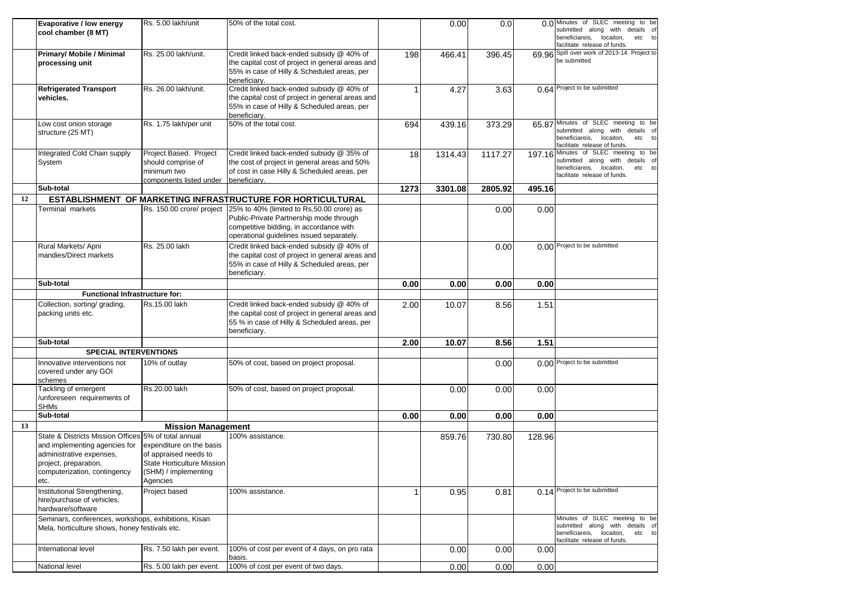|    | Evaporative / low energy<br>cool chamber (8 MT)                                                                                                                                    | Rs. 5.00 lakh/unit                                                                                                  | 50% of the total cost.                                                                                                                                                       |             | 0.00    | 0.0     |        | 0.0 Minutes of SLEC meeting to be<br>submitted along with details of<br>beneficiareis, locaiton,<br>etc to                                    |
|----|------------------------------------------------------------------------------------------------------------------------------------------------------------------------------------|---------------------------------------------------------------------------------------------------------------------|------------------------------------------------------------------------------------------------------------------------------------------------------------------------------|-------------|---------|---------|--------|-----------------------------------------------------------------------------------------------------------------------------------------------|
|    |                                                                                                                                                                                    |                                                                                                                     |                                                                                                                                                                              |             |         |         |        | facilitate release of funds.                                                                                                                  |
|    | Primary/ Mobile / Minimal<br>processing unit                                                                                                                                       | Rs. 25.00 lakh/unit.                                                                                                | Credit linked back-ended subsidy @ 40% of<br>the capital cost of project in general areas and<br>55% in case of Hilly & Scheduled areas, per<br>beneficiarv.                 | 198         | 466.41  | 396.45  |        | 69.96 Spill over work of 2013-14. Project to<br>be submitted                                                                                  |
|    | <b>Refrigerated Transport</b><br>vehicles.                                                                                                                                         | Rs. 26.00 lakh/unit.                                                                                                | Credit linked back-ended subsidy @ 40% of<br>the capital cost of project in general areas and<br>55% in case of Hilly & Scheduled areas, per<br>beneficiary.                 |             | 4.27    | 3.63    |        | 0.64 Project to be submitted                                                                                                                  |
|    | Low cost onion storage<br>structure (25 MT)                                                                                                                                        | Rs. 1.75 lakh/per unit                                                                                              | 50% of the total cost.                                                                                                                                                       | 694         | 439.16  | 373.29  |        | 65.87 Minutes of SLEC meeting to be<br>submitted along with details of<br>beneficiareis, locaiton,<br>etc to<br>facilitate release of funds.  |
|    | Integrated Cold Chain supply<br>System                                                                                                                                             | Project Based. Project<br>should comprise of<br>minimum two<br>components listed under beneficiary.                 | Credit linked back-ended subsidy @ 35% of<br>the cost of project in general areas and 50%<br>of cost in case Hilly & Scheduled areas, per                                    | 18          | 1314.43 | 1117.27 |        | 197.16 Minutes of SLEC meeting to be<br>submitted along with details of<br>beneficiareis, locaiton,<br>etc to<br>facilitate release of funds. |
|    | Sub-total                                                                                                                                                                          |                                                                                                                     |                                                                                                                                                                              | 1273        | 3301.08 | 2805.92 | 495.16 |                                                                                                                                               |
| 12 |                                                                                                                                                                                    |                                                                                                                     | ESTABLISHMENT OF MARKETING INFRASTRUCTURE FOR HORTICULTURAL                                                                                                                  |             |         |         |        |                                                                                                                                               |
|    | Terminal markets                                                                                                                                                                   | Rs. 150.00 crore/ project                                                                                           | 25% to 40% (limited to Rs.50.00 crore) as<br>Public-Private Partnership mode through<br>competitive bidding, in accordance with<br>operational guidelines issued separately. |             |         | 0.00    | 0.00   |                                                                                                                                               |
|    | Rural Markets/ Apni<br>mandies/Direct markets                                                                                                                                      | Rs. 25.00 lakh                                                                                                      | Credit linked back-ended subsidy @ 40% of<br>the capital cost of project in general areas and<br>55% in case of Hilly & Scheduled areas, per<br>beneficiary.                 |             |         | 0.00    |        | 0.00 Project to be submitted                                                                                                                  |
|    | Sub-total                                                                                                                                                                          |                                                                                                                     |                                                                                                                                                                              | 0.00        | 0.00    | 0.00    | 0.00   |                                                                                                                                               |
|    | <b>Functional Infrastructure for:</b>                                                                                                                                              |                                                                                                                     |                                                                                                                                                                              |             |         |         |        |                                                                                                                                               |
|    | Collection, sorting/ grading,<br>packing units etc.                                                                                                                                | Rs.15.00 lakh                                                                                                       | Credit linked back-ended subsidy @ 40% of<br>the capital cost of project in general areas and<br>55 % in case of Hilly & Scheduled areas, per<br>beneficiary.                | 2.00        | 10.07   | 8.56    | 1.51   |                                                                                                                                               |
|    | Sub-total                                                                                                                                                                          |                                                                                                                     |                                                                                                                                                                              | 2.00        | 10.07   | 8.56    | 1.51   |                                                                                                                                               |
|    | <b>SPECIAL INTERVENTIONS</b>                                                                                                                                                       |                                                                                                                     |                                                                                                                                                                              |             |         |         |        |                                                                                                                                               |
|    | Innovative interventions not<br>covered under any GOI<br>schemes                                                                                                                   | 10% of outlay                                                                                                       | 50% of cost, based on project proposal.                                                                                                                                      |             |         | 0.00    |        | 0.00 Project to be submitted                                                                                                                  |
|    | Tackling of emergent<br>/unforeseen requirements of<br><b>SHMs</b>                                                                                                                 | Rs.20.00 lakh                                                                                                       | 50% of cost, based on project proposal.                                                                                                                                      |             | 0.00    | 0.00    | 0.00   |                                                                                                                                               |
|    | Sub-total                                                                                                                                                                          |                                                                                                                     |                                                                                                                                                                              | 0.00        | 0.00    | 0.00    | 0.00   |                                                                                                                                               |
| 13 |                                                                                                                                                                                    | <b>Mission Management</b>                                                                                           |                                                                                                                                                                              |             |         |         |        |                                                                                                                                               |
|    | State & Districts Mission Offices 5% of total annual<br>and implementing agencies for<br>administrative expenses,<br>project, preparation,<br>computerization, contingency<br>etc. | expenditure on the basis<br>of appraised needs to<br>State Horticulture Mission<br>(SHM) / implementing<br>Agencies | 100% assistance.                                                                                                                                                             |             | 859.76  | 730.80  | 128.96 |                                                                                                                                               |
|    | Institutional Strengthening,<br>hire/purchase of vehicles,<br>hardware/software                                                                                                    | Project based                                                                                                       | 100% assistance.                                                                                                                                                             | $\mathbf 1$ | 0.95    | 0.81    |        | 0.14 Project to be submitted                                                                                                                  |
|    | Seminars, conferences, workshops, exhibitions, Kisan<br>Mela, horticulture shows, honey festivals etc.                                                                             |                                                                                                                     |                                                                                                                                                                              |             |         |         |        | Minutes of SLEC meeting to be<br>submitted along with details of<br>beneficiareis, locaiton, etc to<br>facilitate release of funds.           |
|    | International level                                                                                                                                                                | Rs. 7.50 lakh per event.                                                                                            | 100% of cost per event of 4 days, on pro rata<br>basis.                                                                                                                      |             | 0.00    | 0.00    | 0.00   |                                                                                                                                               |
|    | National level                                                                                                                                                                     | Rs. 5.00 lakh per event.                                                                                            | 100% of cost per event of two days.                                                                                                                                          |             | 0.00    | 0.00    | 0.00   |                                                                                                                                               |